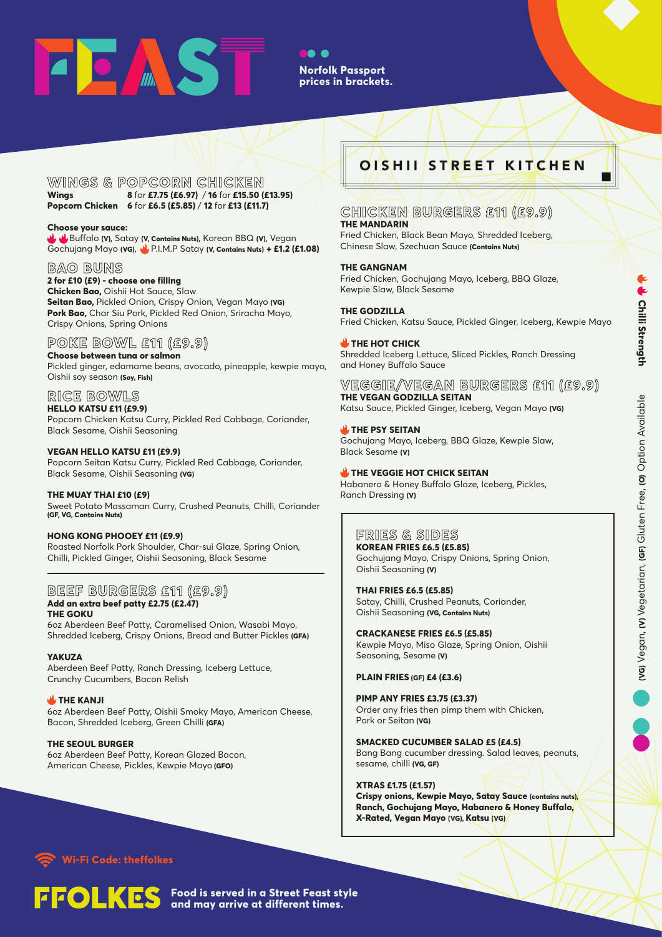

**Norfolk Passport prices in brackets.**

#### WINGS & POPCORN CHICKEN **Wings 8** for **£7.75 (£6.97)** / **16** for **£15.50 (£13.95) Popcorn Chicken 6** for **£6.5 (£5.85)** / **12** for **£13 (£11.7)**

#### **Choose your sauce:**

 Buffalo **(V),** Satay **(V, Contains Nuts),** Korean BBQ **(V),** Vegan Gochujang Mayo **(VG),** P.I.M.P Satay **(V, Contains Nuts) + £1.2 (£1.08)**

#### **BAO BUNS**

#### **2 for £10 (£9) - choose one filling**

**Chicken Bao,** Oishii Hot Sauce, Slaw **Seitan Bao,** Pickled Onion, Crispy Onion, Vegan Mayo **(VG) Pork Bao,** Char Siu Pork, Pickled Red Onion, Sriracha Mayo, Crispy Onions, Spring Onions

## **POKE BOWL £11 (£9.9)**

#### **Choose between tuna or salmon**

Pickled ginger, edamame beans, avocado, pineapple, kewpie mayo, Oishii soy season **(Soy, Fish)**

# **RICE BOWLS**

**HELLO KATSU £11 (£9.9)**  Popcorn Chicken Katsu Curry, Pickled Red Cabbage, Coriander, Black Sesame, Oishii Seasoning

#### **VEGAN HELLO KATSU £11 (£9.9)**

Popcorn Seitan Katsu Curry, Pickled Red Cabbage, Coriander, Black Sesame, Oishii Seasoning **(VG)**

#### **THE MUAY THAI £10 (£9)**

Sweet Potato Massaman Curry, Crushed Peanuts, Chilli, Coriander **(GF, VG, Contains Nuts)**

#### **HONG KONG PHOOEY £11 (£9.9)**

Roasted Norfolk Pork Shoulder, Char-sui Glaze, Spring Onion, Chilli, Pickled Ginger, Oishii Seasoning, Black Sesame

#### **BEEF BURGERS £11 (£9.9) Add an extra beef patty £2.75 (£2.47)**

**THE GOKU**

6oz Aberdeen Beef Patty, Caramelised Onion, Wasabi Mayo, Shredded Iceberg, Crispy Onions, Bread and Butter Pickles **(GFA)**

**YAKUZA**

Aberdeen Beef Patty, Ranch Dressing, Iceberg Lettuce, Crunchy Cucumbers, Bacon Relish

#### **EXAMPLE KANJI**

6oz Aberdeen Beef Patty, Oishii Smoky Mayo, American Cheese, Bacon, Shredded Iceberg, Green Chilli **(GFA)**

#### **THE SEOUL BURGER**

6oz Aberdeen Beef Patty, Korean Glazed Bacon, American Cheese, Pickles, Kewpie Mayo **(GFO)** 

# OISHII STREET KITCHEN

#### **CHICKEN BURGERS £11 (£9.9) THE MANDARIN**

Fried Chicken, Black Bean Mayo, Shredded Iceberg, Chinese Slaw, Szechuan Sauce **(Contains Nuts)** 

#### **THE GANGNAM**

Fried Chicken, Gochujang Mayo, Iceberg, BBQ Glaze, Kewpie Slaw, Black Sesame

#### **THE GODZILLA**

Fried Chicken, Katsu Sauce, Pickled Ginger, Iceberg, Kewpie Mayo

#### **THE HOT CHICK**

Shredded Iceberg Lettuce, Sliced Pickles, Ranch Dressing and Honey Buffalo Sauce

## **VEGGIE/VEGAN BURGERS £11 (£9.9) THE VEGAN GODZILLA SEITAN**

Katsu Sauce, Pickled Ginger, Iceberg, Vegan Mayo **(VG)**

#### **EL THE PSY SEITAN**

Gochujang Mayo, Iceberg, BBQ Glaze, Kewpie Slaw, Black Sesame **(V)**

#### **THE VEGGIE HOT CHICK SEITAN**

Habanero & Honey Buffalo Glaze, Iceberg, Pickles, Ranch Dressing **(V)**

# **FRIES & SIDES**

**KOREAN FRIES £6.5 (£5.85)** Gochujang Mayo, Crispy Onions, Spring Onion, Oishii Seasoning **(V)**

#### **THAI FRIES £6.5 (£5.85)**

Satay, Chilli, Crushed Peanuts, Coriander, Oishii Seasoning **(VG, Contains Nuts)**

#### **CRACKANESE FRIES £6.5 (£5.85)**

Kewpie Mayo, Miso Glaze, Spring Onion, Oishii Seasoning, Sesame **(V)**

#### **PLAIN FRIES (GF) £4 (£3.6)**

**PIMP ANY FRIES £3.75 (£3.37)** Order any fries then pimp them with Chicken, Pork or Seitan **(VG)**

#### **SMACKED CUCUMBER SALAD £5 (£4.5)** Bang Bang cucumber dressing. Salad leaves, peanuts, sesame, chilli **(VG, GF)**

#### **XTRAS £1.75 (£1.57) Crispy onions, Kewpie Mayo, Satay Sauce (contains nuts), Ranch, Gochujang Mayo, Habanero & Honey Buffalo, X-Rated, Vegan Mayo (VG), Katsu (VG)**



**Food is served in a Street Feast style and may arrive at different times.**